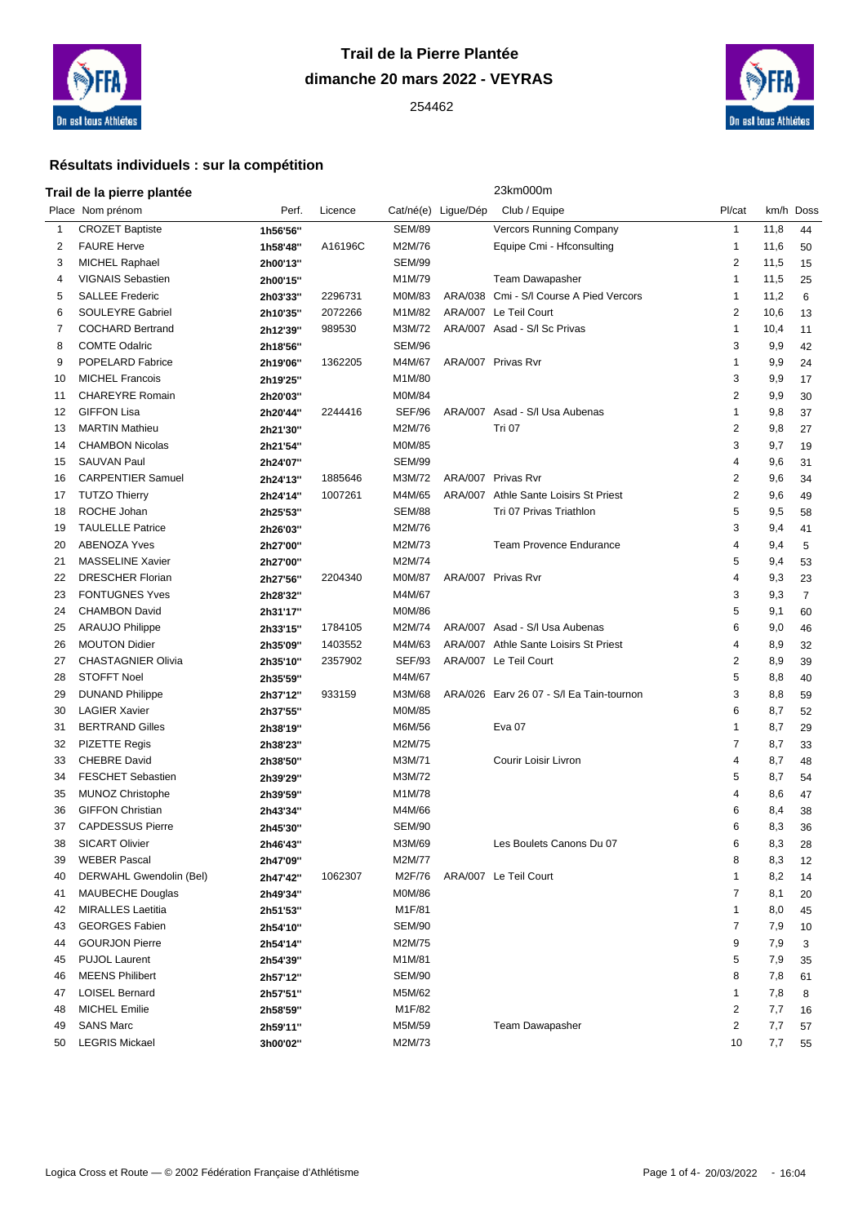

# **Trail de la Pierre Plantée dimanche 20 mars 2022 - VEYRAS**



## **Résultats individuels : sur la compétition**

### **Trail de la pierre plantée** 23km000m

|    | Place Nom prénom          | Perf.    | Licence |               | Cat/né(e) Ligue/Dép | Club / Equipe                            | Pl/cat         | km/h Doss |                |
|----|---------------------------|----------|---------|---------------|---------------------|------------------------------------------|----------------|-----------|----------------|
| 1  | <b>CROZET Baptiste</b>    | 1h56'56" |         | <b>SEM/89</b> |                     | Vercors Running Company                  | 1              | 11,8      | 44             |
| 2  | <b>FAURE Herve</b>        | 1h58'48" | A16196C | M2M/76        |                     | Equipe Cmi - Hfconsulting                | $\mathbf{1}$   | 11,6      | 50             |
| 3  | <b>MICHEL Raphael</b>     | 2h00'13" |         | <b>SEM/99</b> |                     |                                          | 2              | 11,5      | 15             |
| 4  | VIGNAIS Sebastien         | 2h00'15" |         | M1M/79        |                     | Team Dawapasher                          | 1              | 11,5      | 25             |
| 5  | <b>SALLEE Frederic</b>    | 2h03'33" | 2296731 | M0M/83        |                     | ARA/038 Cmi - S/I Course A Pied Vercors  | $\mathbf{1}$   | 11,2      | 6              |
| 6  | SOULEYRE Gabriel          | 2h10'35" | 2072266 | M1M/82        |                     | ARA/007 Le Teil Court                    | 2              | 10,6      | 13             |
| 7  | <b>COCHARD Bertrand</b>   | 2h12'39" | 989530  | M3M/72        |                     | ARA/007 Asad - S/I Sc Privas             | $\mathbf{1}$   | 10,4      | 11             |
| 8  | <b>COMTE Odalric</b>      | 2h18'56" |         | <b>SEM/96</b> |                     |                                          | 3              | 9,9       | 42             |
| 9  | POPELARD Fabrice          | 2h19'06" | 1362205 | M4M/67        |                     | ARA/007 Privas Rvr                       | 1              | 9,9       | 24             |
| 10 | <b>MICHEL Francois</b>    | 2h19'25" |         | M1M/80        |                     |                                          | 3              | 9,9       | 17             |
| 11 | <b>CHAREYRE Romain</b>    | 2h20'03" |         | M0M/84        |                     |                                          | 2              | 9,9       | 30             |
| 12 | <b>GIFFON Lisa</b>        | 2h20'44" | 2244416 | SEF/96        |                     | ARA/007 Asad - S/I Usa Aubenas           | $\mathbf{1}$   | 9,8       | 37             |
| 13 | <b>MARTIN Mathieu</b>     | 2h21'30" |         | M2M/76        |                     | Tri 07                                   | 2              | 9,8       | 27             |
| 14 | <b>CHAMBON Nicolas</b>    | 2h21'54" |         | M0M/85        |                     |                                          | 3              | 9,7       | 19             |
| 15 | <b>SAUVAN Paul</b>        | 2h24'07" |         | <b>SEM/99</b> |                     |                                          | 4              | 9,6       | 31             |
| 16 | <b>CARPENTIER Samuel</b>  | 2h24'13" | 1885646 | M3M/72        |                     | ARA/007 Privas Rvr                       | 2              | 9,6       | 34             |
| 17 | <b>TUTZO Thierry</b>      | 2h24'14" | 1007261 | M4M/65        |                     | ARA/007 Athle Sante Loisirs St Priest    | 2              | 9,6       | 49             |
| 18 | ROCHE Johan               | 2h25'53" |         | <b>SEM/88</b> |                     | Tri 07 Privas Triathlon                  | 5              | 9,5       | 58             |
| 19 | <b>TAULELLE Patrice</b>   | 2h26'03" |         | M2M/76        |                     |                                          | 3              | 9,4       | 41             |
| 20 | <b>ABENOZA Yves</b>       | 2h27'00" |         | M2M/73        |                     | <b>Team Provence Endurance</b>           | $\overline{4}$ | 9,4       | 5              |
| 21 | <b>MASSELINE Xavier</b>   | 2h27'00" |         | M2M/74        |                     |                                          | 5              | 9,4       | 53             |
| 22 | <b>DRESCHER Florian</b>   | 2h27'56" | 2204340 | <b>M0M/87</b> |                     | ARA/007 Privas Rvr                       | 4              | 9,3       | 23             |
| 23 | <b>FONTUGNES Yves</b>     | 2h28'32" |         | M4M/67        |                     |                                          | 3              | 9,3       | $\overline{7}$ |
| 24 | <b>CHAMBON David</b>      | 2h31'17" |         | <b>M0M/86</b> |                     |                                          | 5              | 9,1       | 60             |
| 25 | <b>ARAUJO Philippe</b>    | 2h33'15" | 1784105 | M2M/74        |                     | ARA/007 Asad - S/I Usa Aubenas           | 6              | 9,0       | 46             |
| 26 | <b>MOUTON Didier</b>      | 2h35'09" | 1403552 | M4M/63        |                     | ARA/007 Athle Sante Loisirs St Priest    | 4              | 8,9       | 32             |
| 27 | <b>CHASTAGNIER Olivia</b> | 2h35'10" | 2357902 | <b>SEF/93</b> |                     | ARA/007 Le Teil Court                    | 2              | 8,9       | 39             |
| 28 | <b>STOFFT Noel</b>        | 2h35'59" |         | M4M/67        |                     |                                          | 5              | 8,8       | 40             |
| 29 | <b>DUNAND Philippe</b>    | 2h37'12" | 933159  | M3M/68        |                     | ARA/026 Earv 26 07 - S/l Ea Tain-tournon | 3              | 8,8       | 59             |
| 30 | <b>LAGIER Xavier</b>      | 2h37'55" |         | M0M/85        |                     |                                          | 6              | 8,7       | 52             |
| 31 | <b>BERTRAND Gilles</b>    | 2h38'19" |         | M6M/56        |                     | Eva <sub>07</sub>                        | $\mathbf{1}$   | 8,7       | 29             |
| 32 | <b>PIZETTE Regis</b>      | 2h38'23" |         | M2M/75        |                     |                                          | $\overline{7}$ | 8,7       | 33             |
| 33 | <b>CHEBRE David</b>       | 2h38'50" |         | M3M/71        |                     | Courir Loisir Livron                     | $\overline{4}$ | 8,7       | 48             |
| 34 | <b>FESCHET Sebastien</b>  | 2h39'29" |         | M3M/72        |                     |                                          | 5              | 8,7       | 54             |
| 35 | <b>MUNOZ Christophe</b>   | 2h39'59" |         | M1M/78        |                     |                                          | 4              | 8,6       | 47             |
| 36 | <b>GIFFON Christian</b>   | 2h43'34" |         | M4M/66        |                     |                                          | 6              | 8,4       | 38             |
| 37 | <b>CAPDESSUS Pierre</b>   | 2h45'30" |         | <b>SEM/90</b> |                     |                                          | 6              | 8,3       | 36             |
| 38 | <b>SICART Olivier</b>     | 2h46'43" |         | M3M/69        |                     | Les Boulets Canons Du 07                 | 6              | 8,3       | 28             |
| 39 | <b>WEBER Pascal</b>       | 2h47'09" |         | M2M/77        |                     |                                          | 8              | 8,3       | 12             |
| 40 | DERWAHL Gwendolin (Bel)   | 2h47'42" | 1062307 | M2F/76        |                     | ARA/007 Le Teil Court                    |                | 8,2       | 14             |
| 41 | <b>MAUBECHE Douglas</b>   | 2h49'34" |         | M0M/86        |                     |                                          | 7              | 8,1       | 20             |
| 42 | <b>MIRALLES</b> Laetitia  | 2h51'53" |         | M1F/81        |                     |                                          | 1              | 8,0       | 45             |
| 43 | <b>GEORGES Fabien</b>     | 2h54'10" |         | <b>SEM/90</b> |                     |                                          | 7              | 7,9       | 10             |
| 44 | <b>GOURJON Pierre</b>     | 2h54'14" |         | M2M/75        |                     |                                          | 9              | 7,9       | 3              |
| 45 | <b>PUJOL Laurent</b>      | 2h54'39" |         | M1M/81        |                     |                                          | 5              | 7,9       | 35             |
| 46 | <b>MEENS Philibert</b>    | 2h57'12" |         | <b>SEM/90</b> |                     |                                          | 8              | 7,8       | 61             |
| 47 | <b>LOISEL Bernard</b>     | 2h57'51" |         | M5M/62        |                     |                                          | 1              | 7,8       | 8              |
| 48 | <b>MICHEL Emilie</b>      | 2h58'59" |         | M1F/82        |                     |                                          | 2              | 7,7       | 16             |
| 49 | <b>SANS Marc</b>          | 2h59'11" |         | M5M/59        |                     | Team Dawapasher                          | 2              | 7,7       | 57             |
| 50 | <b>LEGRIS Mickael</b>     | 3h00'02" |         | M2M/73        |                     |                                          | 10             | 7,7       | 55             |
|    |                           |          |         |               |                     |                                          |                |           |                |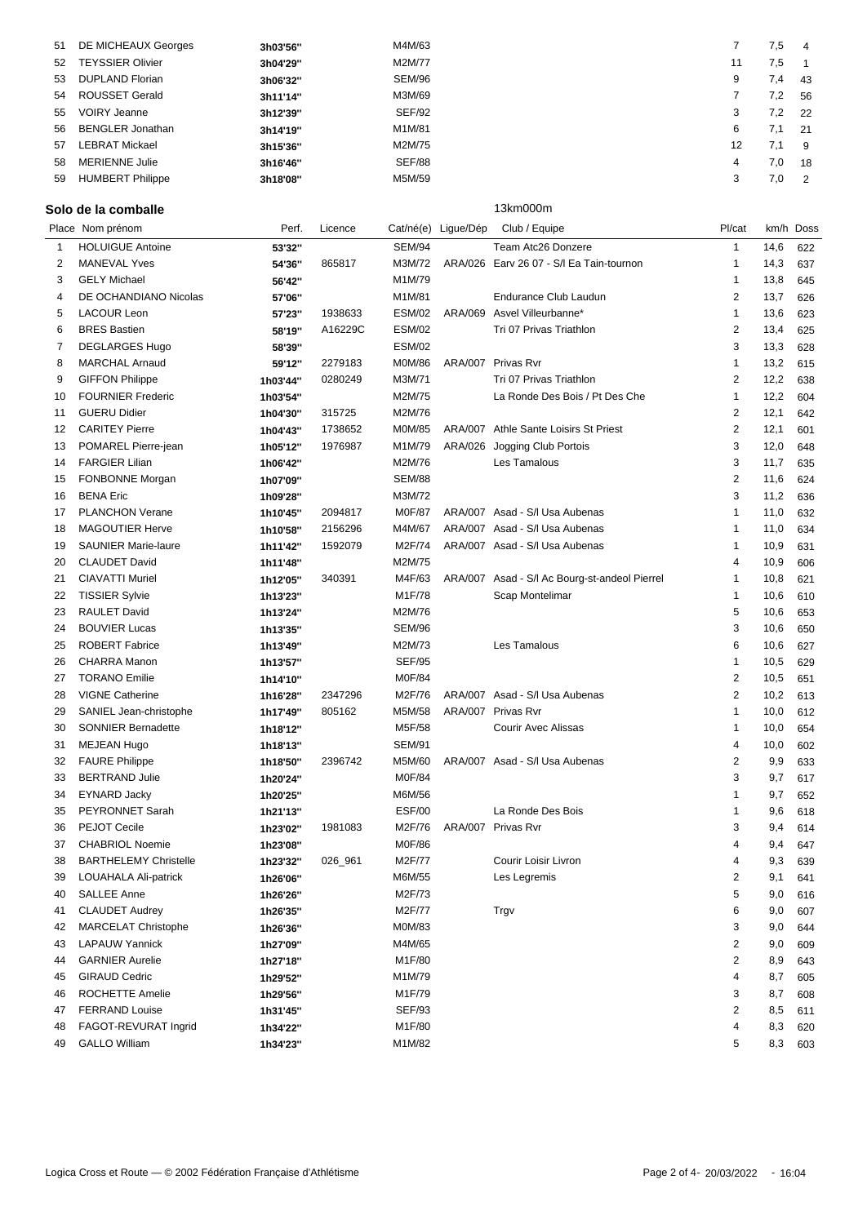| 51 | DE MICHEAUX Georges     | 3h03'56" | M4M/63        |    | 7,5 | -4             |
|----|-------------------------|----------|---------------|----|-----|----------------|
| 52 | <b>TEYSSIER Olivier</b> | 3h04'29" | M2M/77        |    | 7,5 |                |
| 53 | <b>DUPLAND Florian</b>  | 3h06'32" | SEM/96        |    | 7,4 | 43             |
| 54 | <b>ROUSSET Gerald</b>   | 3h11'14" | M3M/69        |    | 7,2 | 56             |
| 55 | <b>VOIRY Jeanne</b>     | 3h12'39" | <b>SEF/92</b> |    | 7,2 | 22             |
| 56 | <b>BENGLER Jonathan</b> | 3h14'19" | M1M/81        | 6  | 7.1 | 21             |
| 57 | <b>LEBRAT Mickael</b>   | 3h15'36" | M2M/75        | 12 | 7.1 | -9             |
| 58 | <b>MERIENNE Julie</b>   | 3h16'46" | <b>SEF/88</b> | 4  | 7,0 | 18             |
| 59 | <b>HUMBERT Philippe</b> | 3h18'08" | M5M/59        |    | 7,0 | $\overline{2}$ |
|    |                         |          |               |    |     |                |

### Solo de la comballe **13km000m**

|          | Place Nom prénom                       | Perf.    | Licence | Cat/né(e) Ligue/Dép     |         | Club / Equipe                                 | Pl/cat              |         | km/h Doss  |
|----------|----------------------------------------|----------|---------|-------------------------|---------|-----------------------------------------------|---------------------|---------|------------|
| 1        | <b>HOLUIGUE Antoine</b>                | 53'32"   |         | <b>SEM/94</b>           |         | Team Atc26 Donzere                            | $\mathbf{1}$        | 14,6    | 622        |
| 2        | <b>MANEVAL Yves</b>                    | 54'36"   | 865817  | M3M/72                  |         | ARA/026 Earv 26 07 - S/l Ea Tain-tournon      | $\mathbf{1}$        | 14,3    | 637        |
| 3        | <b>GELY Michael</b>                    | 56'42"   |         | M1M/79                  |         |                                               | $\mathbf 1$         | 13,8    | 645        |
| 4        | DE OCHANDIANO Nicolas                  | 57'06"   |         | M1M/81                  |         | Endurance Club Laudun                         | $\overline{2}$      | 13,7    | 626        |
| 5        | <b>LACOUR Leon</b>                     | 57'23"   | 1938633 | <b>ESM/02</b>           |         | ARA/069 Asvel Villeurbanne*                   | $\mathbf{1}$        | 13,6    | 623        |
| 6        | <b>BRES</b> Bastien                    | 58'19"   | A16229C | <b>ESM/02</b>           |         | Tri 07 Privas Triathlon                       | 2                   | 13,4    | 625        |
| 7        | <b>DEGLARGES Hugo</b>                  | 58'39"   |         | <b>ESM/02</b>           |         |                                               | 3                   | 13,3    | 628        |
| 8        | <b>MARCHAL Arnaud</b>                  | 59'12"   | 2279183 | M0M/86                  |         | ARA/007 Privas Rvr                            | $\mathbf{1}$        | 13,2    | 615        |
| 9        | <b>GIFFON Philippe</b>                 | 1h03'44" | 0280249 | M3M/71                  |         | Tri 07 Privas Triathlon                       | $\overline{2}$      | 12,2    | 638        |
| 10       | <b>FOURNIER Frederic</b>               | 1h03'54" |         | M2M/75                  |         | La Ronde Des Bois / Pt Des Che                | $\mathbf{1}$        | 12,2    | 604        |
| 11       | <b>GUERU Didier</b>                    | 1h04'30" | 315725  | M2M/76                  |         |                                               | 2                   | 12,1    | 642        |
| 12       | <b>CARITEY Pierre</b>                  | 1h04'43" | 1738652 | M0M/85                  |         | ARA/007 Athle Sante Loisirs St Priest         | 2                   | 12,1    | 601        |
| 13       | POMAREL Pierre-jean                    | 1h05'12" | 1976987 | M1M/79                  | ARA/026 | Jogging Club Portois                          | 3                   | 12,0    | 648        |
| 14       | <b>FARGIER Lilian</b>                  | 1h06'42" |         | M2M/76                  |         | Les Tamalous                                  | 3                   | 11,7    | 635        |
| 15       | FONBONNE Morgan                        | 1h07'09" |         | <b>SEM/88</b>           |         |                                               | 2                   | 11,6    | 624        |
| 16       | <b>BENA Eric</b>                       | 1h09'28" |         | M3M/72                  |         |                                               | 3                   | 11,2    | 636        |
| 17       | PLANCHON Verane                        | 1h10'45" | 2094817 | M0F/87                  |         | ARA/007 Asad - S/I Usa Aubenas                | $\mathbf{1}$        | 11,0    | 632        |
| 18       | <b>MAGOUTIER Herve</b>                 | 1h10'58" | 2156296 | M4M/67                  |         | ARA/007 Asad - S/I Usa Aubenas                | 1                   | 11,0    | 634        |
| 19       | <b>SAUNIER Marie-laure</b>             | 1h11'42" | 1592079 | M2F/74                  |         | ARA/007 Asad - S/I Usa Aubenas                | $\mathbf 1$         | 10,9    | 631        |
| 20       | <b>CLAUDET David</b>                   | 1h11'48" |         | M2M/75                  |         |                                               | $\overline{4}$      | 10,9    | 606        |
| 21       | <b>CIAVATTI Muriel</b>                 | 1h12'05" | 340391  | M4F/63                  |         | ARA/007 Asad - S/I Ac Bourg-st-andeol Pierrel | $\mathbf{1}$        | 10,8    | 621        |
| 22       | <b>TISSIER Sylvie</b>                  | 1h13'23" |         | M1F/78                  |         | Scap Montelimar                               | 1                   | 10,6    | 610        |
| 23       | <b>RAULET David</b>                    | 1h13'24" |         | M2M/76                  |         |                                               | 5                   | 10,6    | 653        |
| 24       | <b>BOUVIER Lucas</b>                   | 1h13'35" |         | <b>SEM/96</b>           |         |                                               | 3                   | 10,6    | 650        |
| 25       | <b>ROBERT Fabrice</b>                  | 1h13'49" |         | M2M/73                  |         | Les Tamalous                                  | 6                   | 10,6    | 627        |
| 26       | CHARRA Manon                           | 1h13'57" |         | <b>SEF/95</b>           |         |                                               | 1                   | 10,5    | 629        |
| 27       | <b>TORANO Emilie</b>                   | 1h14'10" |         | M0F/84                  |         |                                               | 2                   | 10,5    | 651        |
| 28       | <b>VIGNE Catherine</b>                 | 1h16'28" | 2347296 | M2F/76                  |         | ARA/007 Asad - S/I Usa Aubenas                | $\overline{2}$      | 10,2    | 613        |
| 29       | SANIEL Jean-christophe                 | 1h17'49" | 805162  | M5M/58                  |         | ARA/007 Privas Rvr                            | 1                   | 10,0    | 612        |
| 30       | <b>SONNIER Bernadette</b>              | 1h18'12" |         | M5F/58                  |         | Courir Avec Alissas                           | $\mathbf{1}$        | 10,0    | 654        |
| 31       | <b>MEJEAN Hugo</b>                     |          |         | <b>SEM/91</b>           |         |                                               | 4                   | 10,0    | 602        |
| 32       | <b>FAURE Philippe</b>                  | 1h18'13" | 2396742 | M5M/60                  |         | ARA/007 Asad - S/I Usa Aubenas                | 2                   | 9,9     |            |
| 33       | <b>BERTRAND Julie</b>                  | 1h18'50" |         | M0F/84                  |         |                                               | 3                   | 9,7     | 633<br>617 |
|          |                                        | 1h20'24" |         |                         |         |                                               | 1                   |         |            |
| 34<br>35 | <b>EYNARD Jacky</b><br>PEYRONNET Sarah | 1h20'25" |         | M6M/56<br><b>ESF/00</b> |         | La Ronde Des Bois                             | 1                   | 9,7     | 652        |
|          |                                        | 1h21'13" |         |                         |         |                                               |                     | 9,6     | 618        |
| 36       | PEJOT Cecile                           | 1h23'02" | 1981083 | M2F/76                  |         | ARA/007 Privas Rvr                            | 3<br>$\overline{4}$ | 9,4     | 614        |
| 37       | <b>CHABRIOL Noemie</b>                 | 1h23'08" |         | M0F/86                  |         |                                               |                     | 9,4     | 647        |
| 38       | <b>BARTHELEMY Christelle</b>           | 1h23'32" | 026_961 | M2F/77                  |         | Courir Loisir Livron                          | $\overline{4}$      | 9,3     | 639        |
| 39       | <b>LOUAHALA Ali-patrick</b>            | 1h26'06" |         | M6M/55                  |         | Les Legremis                                  | 2                   | 9,1     | 641        |
| 40       | SALLEE Anne                            | 1h26'26" |         | M2F/73                  |         |                                               | 5                   | 9,0     | 616        |
| 41       | <b>CLAUDET Audrey</b>                  | 1h26'35" |         | M2F/77                  |         | Trgv                                          | 6                   | 9,0     | 607        |
| 42       | <b>MARCELAT Christophe</b>             | 1h26'36" |         | M0M/83                  |         |                                               | 3                   | 9,0     | 644        |
| 43       | <b>LAPAUW Yannick</b>                  | 1h27'09" |         | M4M/65                  |         |                                               | $\overline{2}$      | 9,0     | 609        |
| 44       | <b>GARNIER Aurelie</b>                 | 1h27'18" |         | M1F/80                  |         |                                               | $\overline{2}$      | 8,9     | 643        |
| 45       | <b>GIRAUD Cedric</b>                   | 1h29'52" |         | M1M/79                  |         |                                               | 4                   | 8,7     | 605        |
| 46       | ROCHETTE Amelie                        | 1h29'56" |         | M1F/79                  |         |                                               | 3                   | 8,7     | 608        |
| 47       | <b>FERRAND Louise</b>                  | 1h31'45" |         | <b>SEF/93</b>           |         |                                               | 2                   | 8,5     | 611        |
| 48       | FAGOT-REVURAT Ingrid                   | 1h34'22" |         | M1F/80                  |         |                                               | 4                   | 8,3     | 620        |
| 49       | <b>GALLO William</b>                   | 1h34'23" |         | M1M/82                  |         |                                               | 5                   | 8,3 603 |            |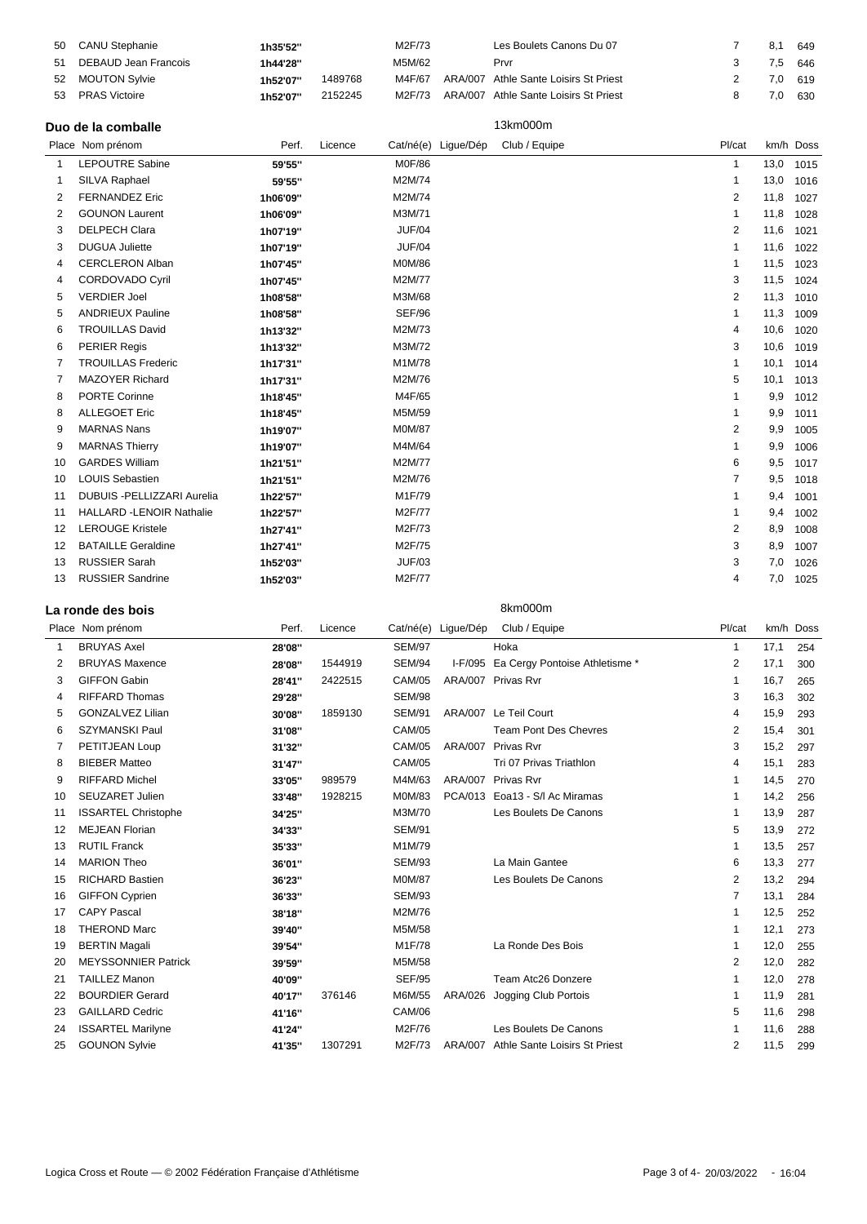|    | 50 CANU Stephanie       | 1h35'52" |         | M2F/73 | Les Boulets Canons Du 07              | 8.1     | 649     |
|----|-------------------------|----------|---------|--------|---------------------------------------|---------|---------|
|    | 51 DEBAUD Jean Francois | 1h44'28" |         | M5M/62 | Prvr                                  | 7,5 646 |         |
|    | 52 MOUTON Sylvie        | 1h52'07" | 1489768 | M4F/67 | ARA/007 Athle Sante Loisirs St Priest |         | 7,0 619 |
| 53 | <b>PRAS Victoire</b>    | 1h52'07" | 2152245 | M2F/73 | ARA/007 Athle Sante Loisirs St Priest | 7.0     | 630     |

#### **Duo de la comballe** 13km000m

|    | Place Nom prénom                | Perf.    | Licence |               | Cat/né(e) Ligue/Dép | Club / Equipe | Pl/cat                  |           | km/h Doss |
|----|---------------------------------|----------|---------|---------------|---------------------|---------------|-------------------------|-----------|-----------|
|    | LEPOUTRE Sabine                 | 59'55"   |         | M0F/86        |                     |               | -1                      | 13,0      | 1015      |
| -1 | SILVA Raphael                   | 59'55"   |         | M2M/74        |                     |               | -1                      | 13,0 1016 |           |
| 2  | <b>FERNANDEZ Eric</b>           | 1h06'09" |         | M2M/74        |                     |               | $\overline{2}$          | 11,8      | 1027      |
| 2  | <b>GOUNON Laurent</b>           | 1h06'09" |         | M3M/71        |                     |               | -1                      | 11,8      | 1028      |
| 3  | <b>DELPECH Clara</b>            | 1h07'19" |         | <b>JUF/04</b> |                     |               | 2                       | 11,6      | 1021      |
| 3  | <b>DUGUA Juliette</b>           | 1h07'19" |         | <b>JUF/04</b> |                     |               | 1                       | 11,6      | 1022      |
| 4  | <b>CERCLERON Alban</b>          | 1h07'45" |         | M0M/86        |                     |               | -1                      | 11,5      | 1023      |
| 4  | CORDOVADO Cyril                 | 1h07'45" |         | M2M/77        |                     |               | 3                       | 11,5      | 1024      |
| 5  | <b>VERDIER Joel</b>             | 1h08'58" |         | M3M/68        |                     |               | 2                       | 11,3      | 1010      |
| 5  | <b>ANDRIEUX Pauline</b>         | 1h08'58" |         | SEF/96        |                     |               | -1                      | 11,3      | 1009      |
| 6  | <b>TROUILLAS David</b>          | 1h13'32" |         | M2M/73        |                     |               | 4                       | 10,6      | 1020      |
| 6  | <b>PERIER Regis</b>             | 1h13'32" |         | M3M/72        |                     |               | 3                       | 10,6      | 1019      |
| 7  | <b>TROUILLAS Frederic</b>       | 1h17'31" |         | M1M/78        |                     |               | -1                      | 10,1      | 1014      |
| 7  | <b>MAZOYER Richard</b>          | 1h17'31" |         | M2M/76        |                     |               | 5                       | 10,1      | 1013      |
| 8  | <b>PORTE Corinne</b>            | 1h18'45" |         | M4F/65        |                     |               |                         | 9,9       | 1012      |
| 8  | <b>ALLEGOET Eric</b>            | 1h18'45" |         | M5M/59        |                     |               | 1                       | 9,9       | 1011      |
| 9  | <b>MARNAS Nans</b>              | 1h19'07" |         | <b>M0M/87</b> |                     |               | 2                       | 9,9       | 1005      |
| 9  | <b>MARNAS Thierry</b>           | 1h19'07" |         | M4M/64        |                     |               | 1                       | 9,9       | 1006      |
| 10 | <b>GARDES William</b>           | 1h21'51" |         | M2M/77        |                     |               | 6                       | 9,5       | 1017      |
| 10 | <b>LOUIS Sebastien</b>          | 1h21'51" |         | M2M/76        |                     |               | $\overline{7}$          | 9,5       | 1018      |
| 11 | DUBUIS - PELLIZZARI Aurelia     | 1h22'57" |         | M1F/79        |                     |               |                         | 9,4       | 1001      |
| 11 | <b>HALLARD -LENOIR Nathalie</b> | 1h22'57" |         | M2F/77        |                     |               | -1                      | 9,4       | 1002      |
| 12 | <b>LEROUGE Kristele</b>         | 1h27'41" |         | M2F/73        |                     |               | $\overline{\mathbf{c}}$ | 8,9       | 1008      |
| 12 | <b>BATAILLE Geraldine</b>       | 1h27'41" |         | M2F/75        |                     |               | 3                       | 8,9       | 1007      |
| 13 | <b>RUSSIER Sarah</b>            | 1h52'03" |         | <b>JUF/03</b> |                     |               | 3                       | 7,0       | 1026      |
| 13 | <b>RUSSIER Sandrine</b>         | 1h52'03" |         | M2F/77        |                     |               | 4                       |           | 7,0 1025  |
|    |                                 |          |         |               |                     |               |                         |           |           |

#### **La ronde des bois** 8km000m

Place Nom prénom en en extra Perf. Licence Cat/né(e) Ligue/Dép Club / Equipe en en en en Pl/cat km/h Doss BRUYAS Axel **28'08''** SEM/97 Hoka 1 17,1 254 BRUYAS Maxence **28'08''** 1544919 SEM/94 I-F/095 Ea Cergy Pontoise Athletisme \* 2 17,1 300 GIFFON Gabin **28'41''** 2422515 CAM/05 ARA/007 Privas Rvr 1 16,7 265 RIFFARD Thomas **29'28''** SEM/98 3 16,3 302 GONZALVEZ Lilian **30'08''** 1859130 SEM/91 ARA/007 Le Teil Court 4 15,9 293 SZYMANSKI Paul **31'08''** CAM/05 Team Pont Des Chevres 2 15,4 301 PETITJEAN Loup **31'32''** CAM/05 ARA/007 Privas Rvr 3 15,2 297 BIEBER Matteo **31'47''** CAM/05 Tri 07 Privas Triathlon 4 15,1 283 RIFFARD Michel **33'05''** 989579 M4M/63 ARA/007 Privas Rvr 1 14,5 270 SEUZARET Julien **33'48''** 1928215 M0M/83 PCA/013 Eoa13 - S/l Ac Miramas 1 14,2 256 ISSARTEL Christophe **34'25''** M3M/70 Les Boulets De Canons 1 13,9 287 MEJEAN Florian **34'33''** SEM/91 5 13,9 272 RUTIL Franck **35'33''** M1M/79 1 13,5 257 MARION Theo **36'01''** SEM/93 La Main Gantee 6 13,3 277 RICHARD Bastien **36'23''** M0M/87 Les Boulets De Canons 2 13,2 294 GIFFON Cyprien **36'33''** SEM/93 7 13,1 284 CAPY Pascal **38'18''** M2M/76 1 12,5 252 THEROND Marc **39'40''** M5M/58 1 12,1 273 BERTIN Magali **39'54''** M1F/78 La Ronde Des Bois 1 12,0 255 MEYSSONNIER Patrick **39'59''** M5M/58 2 12,0 282 TAILLEZ Manon **40'09''** SEF/95 Team Atc26 Donzere 1 12,0 278 BOURDIER Gerard **40'17''** 376146 M6M/55 ARA/026 Jogging Club Portois 1 11,9 281 GAILLARD Cedric **41'16''** CAM/06 5 11,6 298 ISSARTEL Marilyne **41'24''** M2F/76 Les Boulets De Canons 1 11,6 288 GOUNON Sylvie **41'35''** 1307291 M2F/73 ARA/007 Athle Sante Loisirs St Priest 2 11,5 299